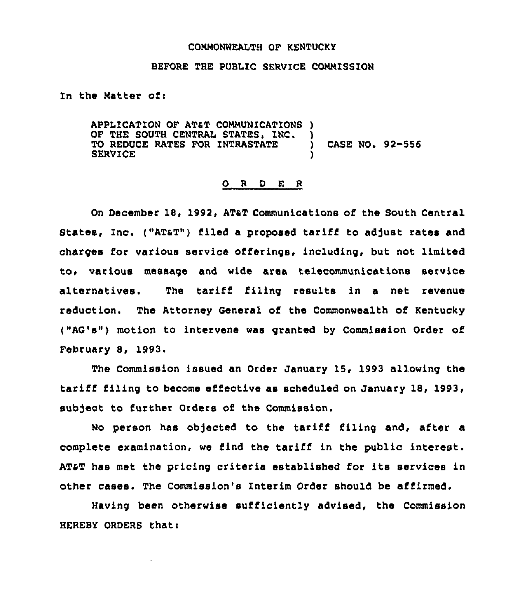## COMMONWEALTH OF KENTUCKY

## BEFORE THE PUBLIC SERVICE COMMISSION

In the Matter of:

APPLICATION OF ATAT COMMUNICATIONS ) OF THE SOUTH CENTRAL STATES, INC. )<br>TO REDUCE RATES FOR INTRASTATE TO REDUCE RATES FOR INTRASTATE ) CASE NO. 92-556 **SERVICE** 

## O R D E R

On December 18, 1992, AT&T Communications of the South Central States, Inc. ("ATaT") filed a proposed tariff to adjust rates and charges for various service offerings, including, but not limited to, various message and wide area telecommunications service alternatives. The tariff filing results in a net revenue reduction. The Attorney General of the Commonwealth of Kentucky ("AG's") motion to intervene was granted by Commission Order of February S, 1993.

The Commission issued an Order January 15, 1993 allowing the tariff filing to become effective as scheduled on January 18, 1993, subject to further Orders of the Commission.

No person has ob)ected to the tariff filing and, after a complete examination, we find the tariff in the public interest. ATsT has met the pricing criteria established for its services in other cases. The Commission's Interim Order should be affirmed.

Having been otherwise sufficiently advised, the Commission HEREBY ORDERS that: